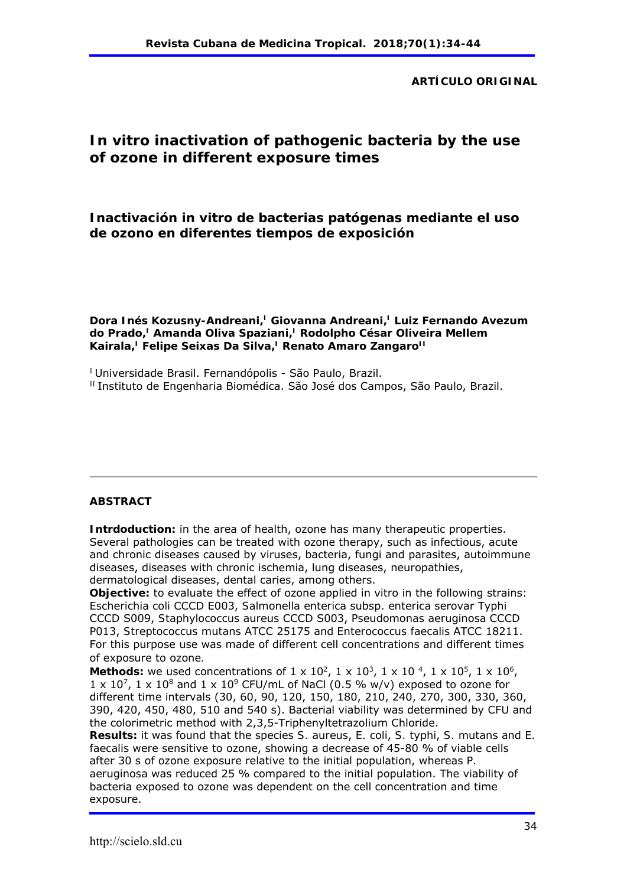#### **ARTÍCULO ORIGINAL**

# *In vitro* **inactivation of pathogenic bacteria by the use of ozone in different exposure times**

**Inactivación** *in vitro* **de bacterias patógenas mediante el uso de ozono en diferentes tiempos de exposición** 

Dora Inés Kozusny-Andreani,<sup>I</sup> Giovanna Andreani,<sup>I</sup> Luiz Fernando Avezum do Prado,<sup>I</sup> Amanda Oliva Spaziani,<sup>I</sup> Rodolpho César Oliveira Mellem Kairala,<sup>I</sup> Felipe Seixas Da Silva,<sup>I</sup> Renato Amaro Zangaro<sup>II</sup>

<sup>I</sup> Universidade Brasil. Fernandópolis - São Paulo, Brazil.

II Instituto de Engenharia Biomédica. São José dos Campos, São Paulo, Brazil.

#### **ABSTRACT**

**Intrdoduction:** in the area of health, ozone has many therapeutic properties. Several pathologies can be treated with ozone therapy, such as infectious, acute and chronic diseases caused by viruses, bacteria, fungi and parasites, autoimmune diseases, diseases with chronic ischemia, lung diseases, neuropathies, dermatological diseases, dental caries, among others.

**Objective:** to evaluate the effect of ozone applied *in vitro* in the following strains: *Escherichia coli* CCCD E003, *Salmonella enterica* subsp. *enterica* serovar Typhi CCCD S009, *Staphylococcus aureus* CCCD S003, *Pseudomonas aeruginosa* CCCD P013, *Streptococcus mutans* ATCC 25175 and *Enterococcus faecalis* ATCC 18211. For this purpose use was made of different cell concentrations and different times of exposure to ozone.

Methods: we used concentrations of 1 x 10<sup>2</sup>, 1 x 10<sup>3</sup>, 1 x 10<sup>4</sup>, 1 x 10<sup>5</sup>, 1 x 10<sup>6</sup>,  $1 \times 10^7$ ,  $1 \times 10^8$  and  $1 \times 10^9$  CFU/mL of NaCl (0.5 % w/v) exposed to ozone for different time intervals (30, 60, 90, 120, 150, 180, 210, 240, 270, 300, 330, 360, 390, 420, 450, 480, 510 and 540 s). Bacterial viability was determined by CFU and the colorimetric method with 2,3,5-Triphenyltetrazolium Chloride.

**Results:** it was found that the species *S. aureus*, *E. coli*, *S. typhi*, *S. mutans* and *E. faecalis* were sensitive to ozone, showing a decrease of 45-80 % of viable cells after 30 s of ozone exposure relative to the initial population, whereas *P. aeruginosa* was reduced 25 % compared to the initial population. The viability of bacteria exposed to ozone was dependent on the cell concentration and time exposure.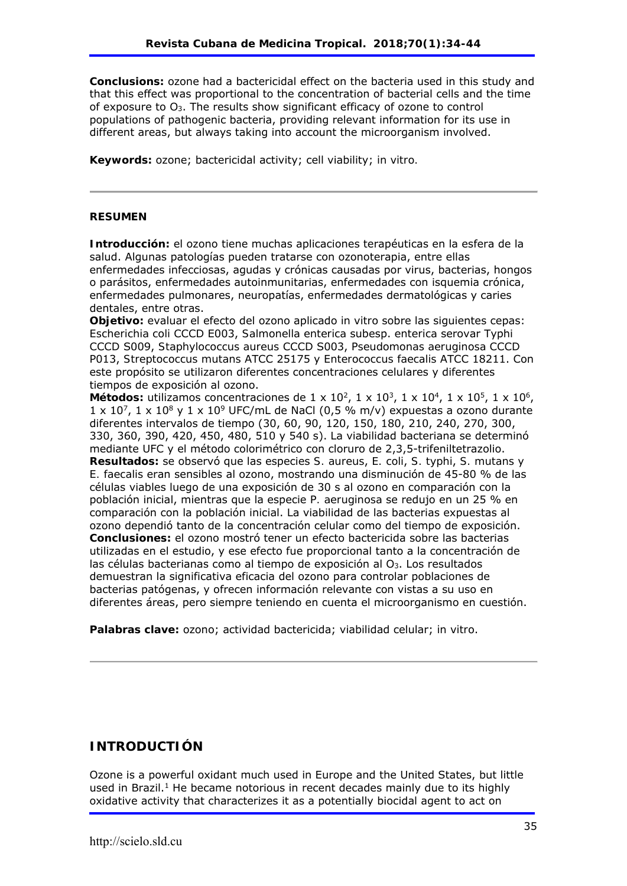**Conclusions:** ozone had a bactericidal effect on the bacteria used in this study and that this effect was proportional to the concentration of bacterial cells and the time of exposure to O3. The results show significant efficacy of ozone to control populations of pathogenic bacteria, providing relevant information for its use in different areas, but always taking into account the microorganism involved.

**Keywords:** ozone; bactericidal activity; cell viability; *in vitro.*

#### **RESUMEN**

**Introducción:** el ozono tiene muchas aplicaciones terapéuticas en la esfera de la salud. Algunas patologías pueden tratarse con ozonoterapia, entre ellas enfermedades infecciosas, agudas y crónicas causadas por virus, bacterias, hongos o parásitos, enfermedades autoinmunitarias, enfermedades con isquemia crónica, enfermedades pulmonares, neuropatías, enfermedades dermatológicas y caries dentales, entre otras.

**Objetivo:** evaluar el efecto del ozono aplicado *in vitro* sobre las siguientes cepas: *Escherichia coli* CCCD E003, *Salmonella enterica* subesp. *enterica* serovar Typhi CCCD S009, *Staphylococcus aureus* CCCD S003, *Pseudomonas aeruginosa* CCCD P013, *Streptococcus mutans* ATCC 25175 y *Enterococcus faecalis* ATCC 18211. Con este propósito se utilizaron diferentes concentraciones celulares y diferentes tiempos de exposición al ozono.

Métodos: utilizamos concentraciones de  $1 \times 10^2$ ,  $1 \times 10^3$ ,  $1 \times 10^4$ ,  $1 \times 10^5$ ,  $1 \times 10^6$ ,  $1 \times 10^7$ ,  $1 \times 10^8$  y  $1 \times 10^9$  UFC/mL de NaCl (0,5 % m/v) expuestas a ozono durante diferentes intervalos de tiempo (30, 60, 90, 120, 150, 180, 210, 240, 270, 300, 330, 360, 390, 420, 450, 480, 510 y 540 s). La viabilidad bacteriana se determinó mediante UFC y el método colorimétrico con cloruro de 2,3,5-trifeniltetrazolio. **Resultados:** se observó que las especies *S. aureus*, *E. coli*, *S. typhi*, *S. mutans* y *E. faecalis* eran sensibles al ozono, mostrando una disminución de 45-80 % de las células viables luego de una exposición de 30 s al ozono en comparación con la población inicial, mientras que la especie *P. aeruginosa* se redujo en un 25 % en comparación con la población inicial. La viabilidad de las bacterias expuestas al ozono dependió tanto de la concentración celular como del tiempo de exposición. **Conclusiones:** el ozono mostró tener un efecto bactericida sobre las bacterias utilizadas en el estudio, y ese efecto fue proporcional tanto a la concentración de las células bacterianas como al tiempo de exposición al O3. Los resultados demuestran la significativa eficacia del ozono para controlar poblaciones de bacterias patógenas, y ofrecen información relevante con vistas a su uso en diferentes áreas, pero siempre teniendo en cuenta el microorganismo en cuestión.

**Palabras clave:** ozono; actividad bactericida; viabilidad celular; *in vitro*.

### **INTRODUCTIÓN**

Ozone is a powerful oxidant much used in Europe and the United States, but little used in Brazil.<sup>1</sup> He became notorious in recent decades mainly due to its highly oxidative activity that characterizes it as a potentially biocidal agent to act on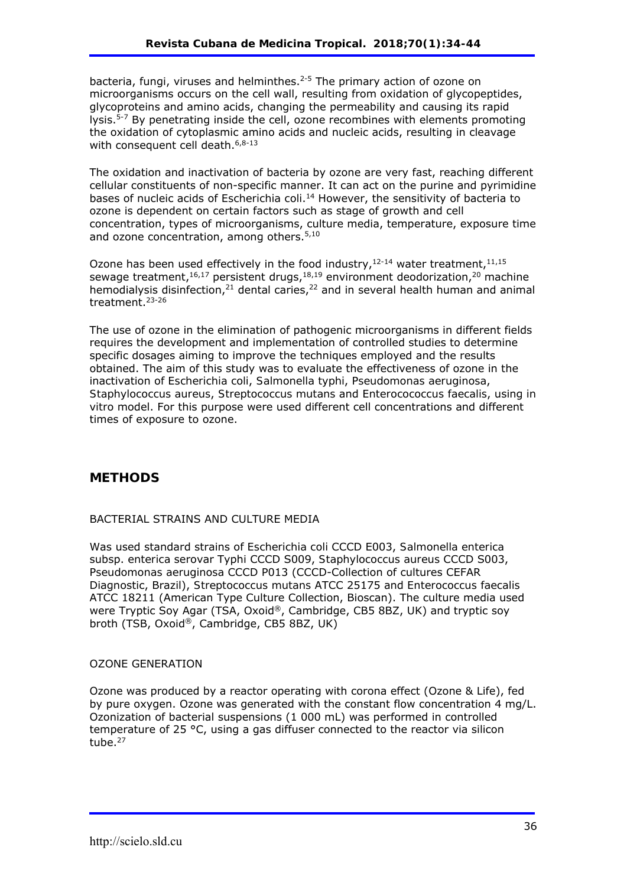bacteria, fungi, viruses and helminthes.<sup>2-5</sup> The primary action of ozone on microorganisms occurs on the cell wall, resulting from oxidation of glycopeptides, glycoproteins and amino acids, changing the permeability and causing its rapid lysis.5-7 By penetrating inside the cell, ozone recombines with elements promoting the oxidation of cytoplasmic amino acids and nucleic acids, resulting in cleavage with consequent cell death. 6,8-13

The oxidation and inactivation of bacteria by ozone are very fast, reaching different cellular constituents of non-specific manner. It can act on the purine and pyrimidine bases of nucleic acids of *Escherichia coli*.14 However, the sensitivity of bacteria to ozone is dependent on certain factors such as stage of growth and cell concentration, types of microorganisms, culture media, temperature, exposure time and ozone concentration, among others.<sup>5,10</sup>

Ozone has been used effectively in the food industry, $12-14$  water treatment, $11,15$ sewage treatment,<sup>16,17</sup> persistent drugs,<sup>18,19</sup> environment deodorization,<sup>20</sup> machine hemodialysis disinfection,<sup>21</sup> dental caries,<sup>22</sup> and in several health human and animal treatment.23-26

The use of ozone in the elimination of pathogenic microorganisms in different fields requires the development and implementation of controlled studies to determine specific dosages aiming to improve the techniques employed and the results obtained. The aim of this study was to evaluate the effectiveness of ozone in the inactivation of *Escherichia coli*, *Salmonella typhi*, *Pseudomonas aeruginosa*, *Staphylococcus aureus*, *Streptococcus mutans* and *Enterocococcus faecalis*, using *in vitro* model. For this purpose were used different cell concentrations and different times of exposure to ozone.

## **METHODS**

#### BACTERIAL STRAINS AND CULTURE MEDIA

Was used standard strains of *Escherichia coli* CCCD E003, *Salmonella enterica*  subsp. *enterica* serovar Typhi CCCD S009, *Staphylococcus aureus* CCCD S003, *Pseudomonas aeruginosa* CCCD P013 (CCCD-Collection of cultures CEFAR Diagnostic, Brazil), *Streptococcus mutans* ATCC 25175 and *Enterococcus faecalis* ATCC 18211 (American Type Culture Collection, Bioscan). The culture media used were Tryptic Soy Agar (TSA, Oxoid®, Cambridge, CB5 8BZ, UK) and tryptic soy broth (TSB, Oxoid®, Cambridge, CB5 8BZ, UK)

#### OZONE GENERATION

Ozone was produced by a reactor operating with corona effect (Ozone & Life), fed by pure oxygen. Ozone was generated with the constant flow concentration 4 mg/L. Ozonization of bacterial suspensions (1 000 mL) was performed in controlled temperature of 25 °C, using a gas diffuser connected to the reactor via silicon tube.<sup>27</sup>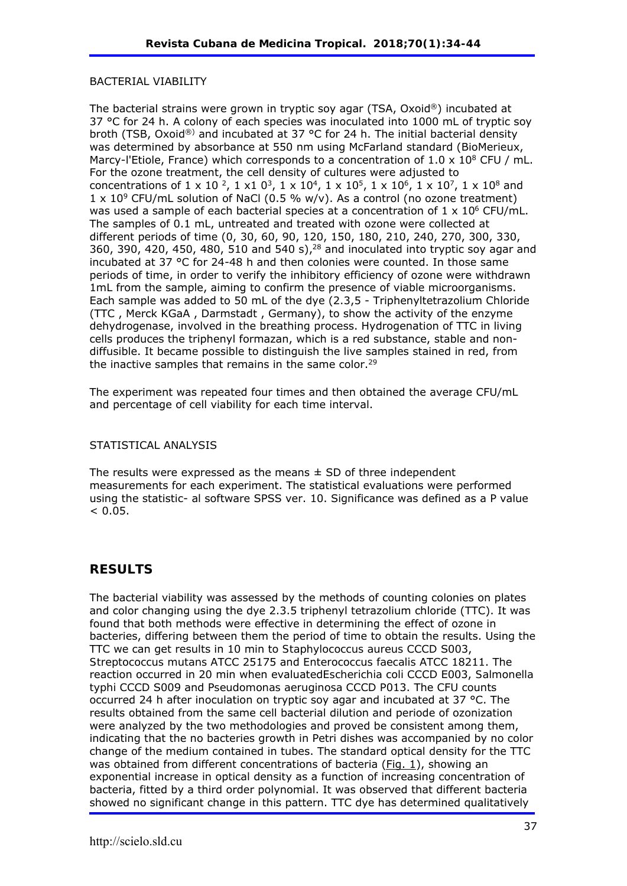#### BACTERIAL VIABILITY

The bacterial strains were grown in tryptic soy agar (TSA, Oxoid®) incubated at 37 °C for 24 h. A colony of each species was inoculated into 1000 mL of tryptic soy broth (TSB, Oxoid®) and incubated at 37 °C for 24 h. The initial bacterial density was determined by absorbance at 550 nm using McFarland standard (BioMerieux, Marcy-l'Etiole, France) which corresponds to a concentration of  $1.0 \times 10^8$  CFU / mL. For the ozone treatment, the cell density of cultures were adjusted to concentrations of  $1 \times 10^{-2}$ ,  $1 \times 10^{3}$ ,  $1 \times 10^{4}$ ,  $1 \times 10^{5}$ ,  $1 \times 10^{6}$ ,  $1 \times 10^{7}$ ,  $1 \times 10^{8}$  and  $1 \times 10^9$  CFU/mL solution of NaCl (0.5 % w/v). As a control (no ozone treatment) was used a sample of each bacterial species at a concentration of  $1 \times 10^6$  CFU/mL. The samples of 0.1 mL, untreated and treated with ozone were collected at different periods of time (0, 30, 60, 90, 120, 150, 180, 210, 240, 270, 300, 330, 360, 390, 420, 450, 480, 510 and 540 s),  $28$  and inoculated into tryptic soy agar and incubated at 37 °C for 24-48 h and then colonies were counted. In those same periods of time, in order to verify the inhibitory efficiency of ozone were withdrawn 1mL from the sample, aiming to confirm the presence of viable microorganisms. Each sample was added to 50 mL of the dye (2.3,5 - Triphenyltetrazolium Chloride (TTC , Merck KGaA , Darmstadt , Germany), to show the activity of the enzyme dehydrogenase, involved in the breathing process. Hydrogenation of TTC in living cells produces the triphenyl formazan, which is a red substance, stable and nondiffusible. It became possible to distinguish the live samples stained in red, from the inactive samples that remains in the same color.<sup>29</sup>

The experiment was repeated four times and then obtained the average CFU/mL and percentage of cell viability for each time interval.

#### STATISTICAL ANALYSIS

The results were expressed as the means  $\pm$  SD of three independent measurements for each experiment. The statistical evaluations were performed using the statistic- al software SPSS ver. 10. Significance was defined as a P value  $< 0.05.$ 

### **RESULTS**

The bacterial viability was assessed by the methods of counting colonies on plates and color changing using the dye 2.3.5 triphenyl tetrazolium chloride (TTC). It was found that both methods were effective in determining the effect of ozone in bacteries, differing between them the period of time to obtain the results. Using the TTC we can get results in 10 min to *Staphylococcus aureus* CCCD S003, *Streptococcus mutans* ATCC 25175 and *Enterococcus faecalis* ATCC 18211. The reaction occurred in 20 min when evaluated*Escherichia coli* CCCD E003, *Salmonella typhi* CCCD S009 and *Pseudomonas aeruginosa* CCCD P013. The CFU counts occurred 24 h after inoculation on tryptic soy agar and incubated at 37 °C. The results obtained from the same cell bacterial dilution and periode of ozonization were analyzed by the two methodologies and proved be consistent among them, indicating that the no bacteries growth in Petri dishes was accompanied by no color change of the medium contained in tubes. The standard optical density for the TTC was obtained from different concentrations of bacteria (Fig. 1), showing an exponential increase in optical density as a function of increasing concentration of bacteria, fitted by a third order polynomial. It was observed that different bacteria showed no significant change in this pattern. TTC dye has determined qualitatively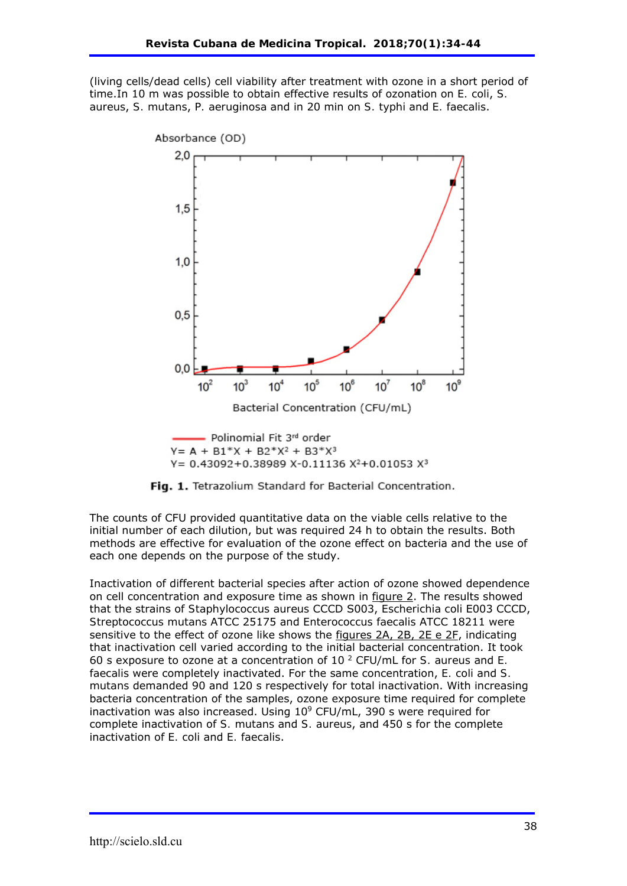(living cells/dead cells) cell viability after treatment with ozone in a short period of time.In 10 m was possible to obtain effective results of ozonation on *E. coli*, *S. aureus*, *S. mutans*, *P. aeruginosa* and in 20 min on *S. typhi* and *E. faecalis*.



Y =  $0.43092 + 0.38989$  X-0.11136 X<sup>2</sup>+0.01053 X<sup>3</sup>



The counts of CFU provided quantitative data on the viable cells relative to the initial number of each dilution, but was required 24 h to obtain the results. Both methods are effective for evaluation of the ozone effect on bacteria and the use of each one depends on the purpose of the study.

Inactivation of different bacterial species after action of ozone showed dependence on cell concentration and exposure time as shown in figure 2. The results showed that the strains of *Staphylococcus aureus* CCCD S003, *Escherichia coli* E003 CCCD, *Streptococcus mutans* ATCC 25175 and *Enterococcus faecalis* ATCC 18211 were sensitive to the effect of ozone like shows the figures 2A, 2B, 2E e 2F, indicating that inactivation cell varied according to the initial bacterial concentration. It took 60 s exposure to ozone at a concentration of 10 2 CFU/mL for *S. aureus* and *E. faecalis* were completely inactivated. For the same concentration, *E. coli* and *S. mutans* demanded 90 and 120 s respectively for total inactivation. With increasing bacteria concentration of the samples, ozone exposure time required for complete inactivation was also increased. Using  $10^9$  CFU/mL, 390 s were required for complete inactivation of *S. mutans* and *S. aureus*, and 450 s for the complete inactivation of *E. coli* and *E. faecalis*.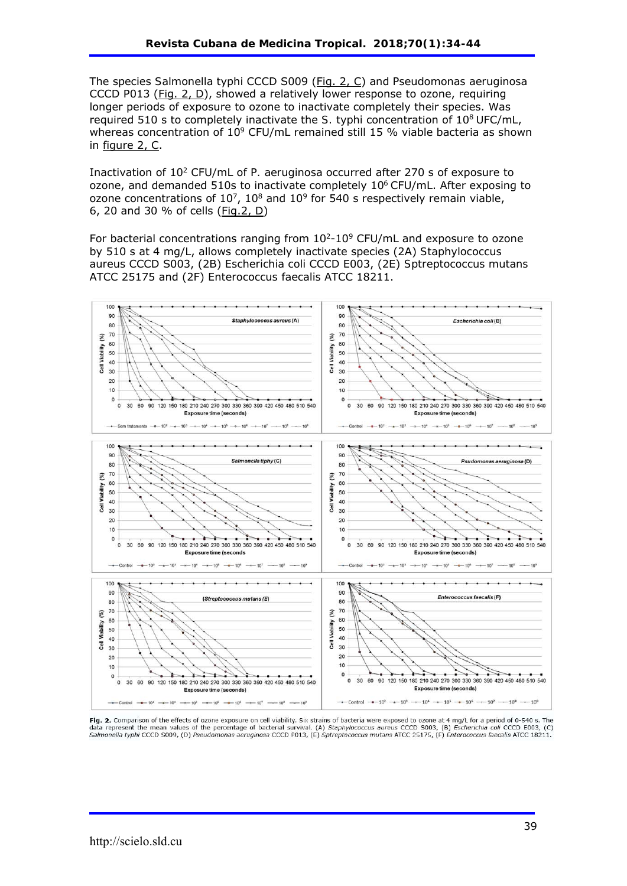The species *Salmonella* typhi CCCD S009 (Fig. 2, C) and *Pseudomonas aeruginosa* CCCD P013 (Fig. 2, D), showed a relatively lower response to ozone, requiring longer periods of exposure to ozone to inactivate completely their species. Was required 510 s to completely inactivate the *S. typhi* concentration of 108 UFC/mL, whereas concentration of  $10^9$  CFU/mL remained still 15 % viable bacteria as shown in figure 2, C.

Inactivation of 102 CFU/mL of *P. aeruginosa* occurred after 270 s of exposure to ozone, and demanded 510s to inactivate completely  $10<sup>6</sup>$  CFU/mL. After exposing to ozone concentrations of  $10^7$ ,  $10^8$  and  $10^9$  for 540 s respectively remain viable, 6, 20 and 30 % of cells (Fig.2, D)

For bacterial concentrations ranging from  $10^{2}-10^{9}$  CFU/mL and exposure to ozone by 510 s at 4 mg/L, allows completely inactivate species (2A) *Staphylococcus aureus* CCCD S003, (2B) *Escherichia coli* CCCD E003, (2E) *Sptreptococcus mutans* ATCC 25175 and (2F) *Enterococcus faecalis* ATCC 18211.



Fig. 2. Comparison of the effects of ozone exposure on cell viability. Six strains of bacteria were exposed to ozone at 4 mg/L for a period of 0-540 s. The data represent the mean values of the percentage of bacterial survival. (A) Staphylococcus aureus CCCD 5003, (B) Escherichia coli CCCD E003, (C) Salmonella typhi CCCD S009, (D) Pseudomonas aeruginosa CCCD P013, (E) Sptreptococcus mutans ATCC 25175, (F) Enterococcus faecalis ATCC 18211.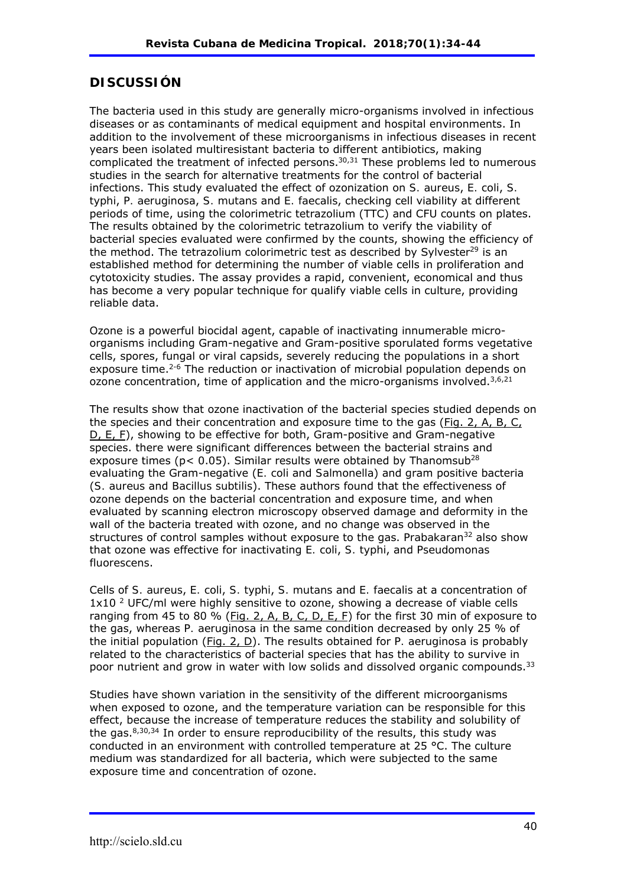# **DISCUSSIÓN**

The bacteria used in this study are generally micro-organisms involved in infectious diseases or as contaminants of medical equipment and hospital environments. In addition to the involvement of these microorganisms in infectious diseases in recent years been isolated multiresistant bacteria to different antibiotics, making complicated the treatment of infected persons. $30,31$  These problems led to numerous studies in the search for alternative treatments for the control of bacterial infections. This study evaluated the effect of ozonization on *S. aureus*, *E. coli*, *S. typhi*, *P. aeruginosa*, *S. mutans* and *E. faecalis*, checking cell viability at different periods of time, using the colorimetric tetrazolium (TTC) and CFU counts on plates. The results obtained by the colorimetric tetrazolium to verify the viability of bacterial species evaluated were confirmed by the counts, showing the efficiency of the method. The tetrazolium colorimetric test as described by Sylvester<sup>29</sup> is an established method for determining the number of viable cells in proliferation and cytotoxicity studies. The assay provides a rapid, convenient, economical and thus has become a very popular technique for qualify viable cells in culture, providing reliable data.

Ozone is a powerful biocidal agent, capable of inactivating innumerable microorganisms including Gram-negative and Gram-positive sporulated forms vegetative cells, spores, fungal or viral capsids, severely reducing the populations in a short exposure time.<sup>2-6</sup> The reduction or inactivation of microbial population depends on ozone concentration, time of application and the micro-organisms involved.<sup>3,6,21</sup>

The results show that ozone inactivation of the bacterial species studied depends on the species and their concentration and exposure time to the gas (Fig. 2, A, B, C, D, E, F), showing to be effective for both, Gram-positive and Gram-negative species. there were significant differences between the bacterial strains and exposure times ( $p$ < 0.05). Similar results were obtained by Thanomsub<sup>28</sup> evaluating the Gram-negative (*E. coli* and *Salmonella*) and gram positive bacteria (*S. aureus* and *Bacillus subtilis*). These authors found that the effectiveness of ozone depends on the bacterial concentration and exposure time, and when evaluated by scanning electron microscopy observed damage and deformity in the wall of the bacteria treated with ozone, and no change was observed in the structures of control samples without exposure to the gas. *Prabakaran*32 also show that ozone was effective for inactivating *E. coli*, *S. typhi*, and *Pseudomonas fluorescens*.

Cells of *S. aureus*, *E. coli*, *S. typhi*, *S. mutans* and *E. faecalis* at a concentration of  $1x10<sup>2</sup>$  UFC/ml were highly sensitive to ozone, showing a decrease of viable cells ranging from 45 to 80 % (Fig. 2, A, B, C, D, E, F) for the first 30 min of exposure to the gas, whereas *P. aeruginosa* in the same condition decreased by only 25 % of the initial population (Fig. 2, D). The results obtained for *P. aeruginosa* is probably related to the characteristics of bacterial species that has the ability to survive in poor nutrient and grow in water with low solids and dissolved organic compounds.<sup>33</sup>

Studies have shown variation in the sensitivity of the different microorganisms when exposed to ozone, and the temperature variation can be responsible for this effect, because the increase of temperature reduces the stability and solubility of the gas. $8,30,34$  In order to ensure reproducibility of the results, this study was conducted in an environment with controlled temperature at 25 °C. The culture medium was standardized for all bacteria, which were subjected to the same exposure time and concentration of ozone.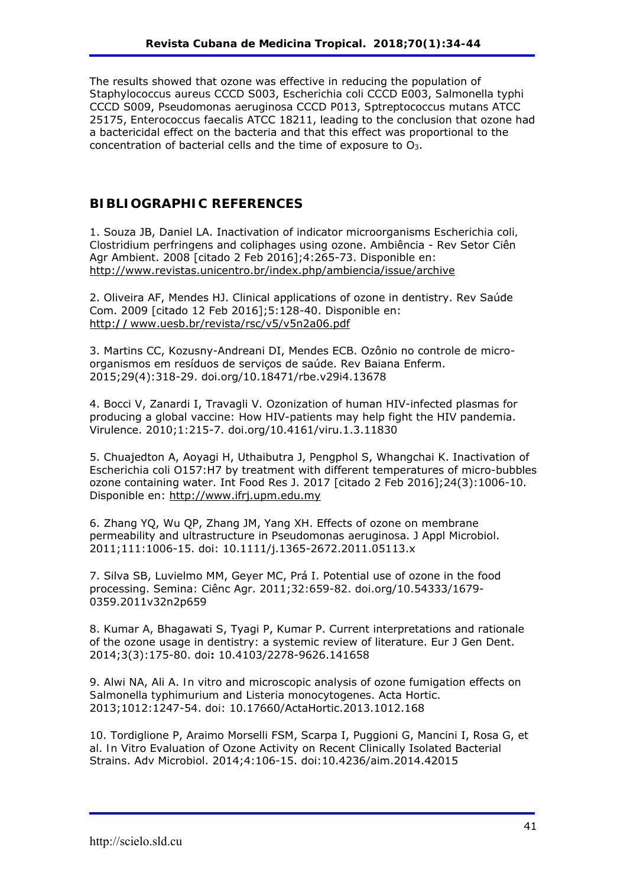The results showed that ozone was effective in reducing the population of *Staphylococcus aureus* CCCD S003, *Escherichia coli* CCCD E003, *Salmonella typhi* CCCD S009, *Pseudomonas aeruginosa* CCCD P013, *Sptreptococcus mutans* ATCC 25175, *Enterococcus faecalis* ATCC 18211, leading to the conclusion that ozone had a bactericidal effect on the bacteria and that this effect was proportional to the concentration of bacterial cells and the time of exposure to O3.

### **BIBLIOGRAPHIC REFERENCES**

1. Souza JB, Daniel LA. Inactivation of indicator microorganisms *Escherichia coli, Clostridium perfringens* and coliphages using ozone. Ambiência - Rev Setor Ciên Agr Ambient. 2008 [citado 2 Feb 2016];4:265-73. Disponible en: http://www.revistas.unicentro.br/index.php/ambiencia/issue/archive

2. Oliveira AF, Mendes HJ. Clinical applications of ozone in dentistry. Rev Saúde Com. 2009 [citado 12 Feb 2016];5:128-40. Disponible en: http:**//**www.uesb.br/revista/rsc/v5/v5n2a06.pdf

3. Martins CC, Kozusny-Andreani DI, Mendes ECB. Ozônio no controle de microorganismos em resíduos de serviços de saúde. Rev Baiana Enferm. 2015;29(4):318-29. doi.org/10.18471/rbe.v29i4.13678

4. Bocci V, Zanardi I, Travagli V. Ozonization of human HIV-infected plasmas for producing a global vaccine: How HIV-patients may help fight the HIV pandemia. Virulence. 2010;1:215-7. doi.org/10.4161/viru.1.3.11830

5. Chuajedton A, Aoyagi H, Uthaibutra J, Pengphol S, Whangchai K. Inactivation of *Escherichia coli* O157:H7 by treatment with different temperatures of micro-bubbles ozone containing water. Int Food Res J. 2017 [citado 2 Feb 2016];24(3):1006-10. Disponible en: http://www.ifrj.upm.edu.my

6. Zhang YQ, Wu QP, Zhang JM, Yang XH. Effects of ozone on membrane permeability and ultrastructure in *Pseudomonas aeruginosa*. J Appl Microbiol. 2011;111:1006-15. doi: 10.1111/j.1365-2672.2011.05113.x

7. Silva SB, Luvielmo MM, Geyer MC, Prá I. Potential use of ozone in the food processing. Semina: Ciênc Agr. 2011;32:659-82. doi.org/10.54333/1679- 0359.2011v32n2p659

8. Kumar A, Bhagawati S, Tyagi P, Kumar P. Current interpretations and rationale of the ozone usage in dentistry: a systemic review of literature. Eur J Gen Dent. 2014;3(3):175-80. doi**:** 10.4103/2278-9626.141658

9. Alwi NA, Ali A. *In vitro* and microscopic analysis of ozone fumigation effects on *Salmonella typhimurium* and *Listeria monocytogenes*. Acta Hortic. 2013;1012:1247-54. doi: 10.17660/ActaHortic.2013.1012.168

10. Tordiglione P, Araimo Morselli FSM, Scarpa I, Puggioni G, Mancini I, Rosa G, et al. *In Vitro* Evaluation of Ozone Activity on Recent Clinically Isolated Bacterial Strains. Adv Microbiol. 2014;4:106-15. doi:10.4236/aim.2014.42015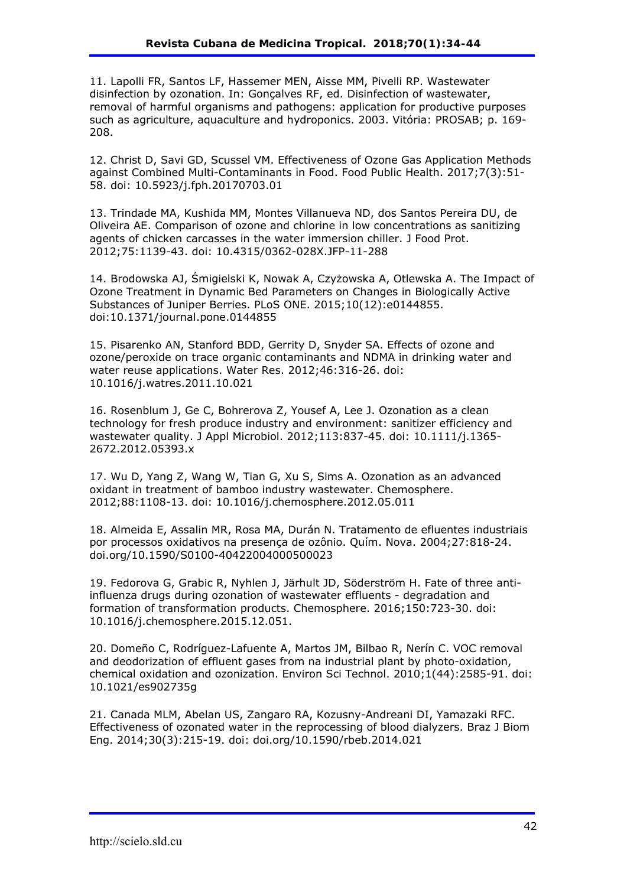11. Lapolli FR, Santos LF, Hassemer MEN, Aisse MM, Pivelli RP. Wastewater disinfection by ozonation. In: Gonçalves RF, ed. Disinfection of wastewater, removal of harmful organisms and pathogens: application for productive purposes such as agriculture, aquaculture and hydroponics. 2003. Vitória: PROSAB; p. 169- 208.

12. Christ D, Savi GD, Scussel VM. Effectiveness of Ozone Gas Application Methods against Combined Multi-Contaminants in Food. Food Public Health. 2017;7(3):51- 58. doi: 10.5923/j.fph.20170703.01

13. Trindade MA, Kushida MM, Montes Villanueva ND, dos Santos Pereira DU, de Oliveira AE. Comparison of ozone and chlorine in low concentrations as sanitizing agents of chicken carcasses in the water immersion chiller. J Food Prot. 2012;75:1139-43. doi: 10.4315/0362-028X.JFP-11-288

14. Brodowska AJ, Śmigielski K, Nowak A, Czyżowska A, Otlewska A. The Impact of Ozone Treatment in Dynamic Bed Parameters on Changes in Biologically Active Substances of Juniper Berries. PLoS ONE. 2015;10(12):e0144855. doi:10.1371/journal.pone.0144855

15. Pisarenko AN, Stanford BDD, Gerrity D, Snyder SA. Effects of ozone and ozone/peroxide on trace organic contaminants and NDMA in drinking water and water reuse applications. Water Res. 2012;46:316-26. doi: 10.1016/j.watres.2011.10.021

16. Rosenblum J, Ge C, Bohrerova Z, Yousef A, Lee J. Ozonation as a clean technology for fresh produce industry and environment: sanitizer efficiency and wastewater quality. J Appl Microbiol. 2012;113:837-45. doi: 10.1111/j.1365- 2672.2012.05393.x

17. Wu D, Yang Z, Wang W, Tian G, Xu S, Sims A. Ozonation as an advanced oxidant in treatment of bamboo industry wastewater. Chemosphere. 2012;88:1108-13. doi: 10.1016/j.chemosphere.2012.05.011

18. Almeida E, Assalin MR, Rosa MA, Durán N. Tratamento de efluentes industriais por processos oxidativos na presença de ozônio. Quím. Nova. 2004;27:818-24. doi.org/10.1590/S0100-40422004000500023

19. Fedorova G, Grabic R, Nyhlen J, Järhult JD, Söderström H. Fate of three antiinfluenza drugs during ozonation of wastewater effluents - degradation and formation of transformation products. Chemosphere. 2016;150:723-30. doi: 10.1016/j.chemosphere.2015.12.051.

20. Domeño C, Rodríguez-Lafuente A, Martos JM, Bilbao R, Nerín C. VOC removal and deodorization of effluent gases from na industrial plant by photo-oxidation, chemical oxidation and ozonization. Environ Sci Technol. 2010;1(44):2585-91. doi: 10.1021/es902735g

21. Canada MLM, Abelan US, Zangaro RA, Kozusny-Andreani DI, Yamazaki RFC. Effectiveness of ozonated water in the reprocessing of blood dialyzers. Braz J Biom Eng. 2014;30(3):215-19. doi: doi.org/10.1590/rbeb.2014.021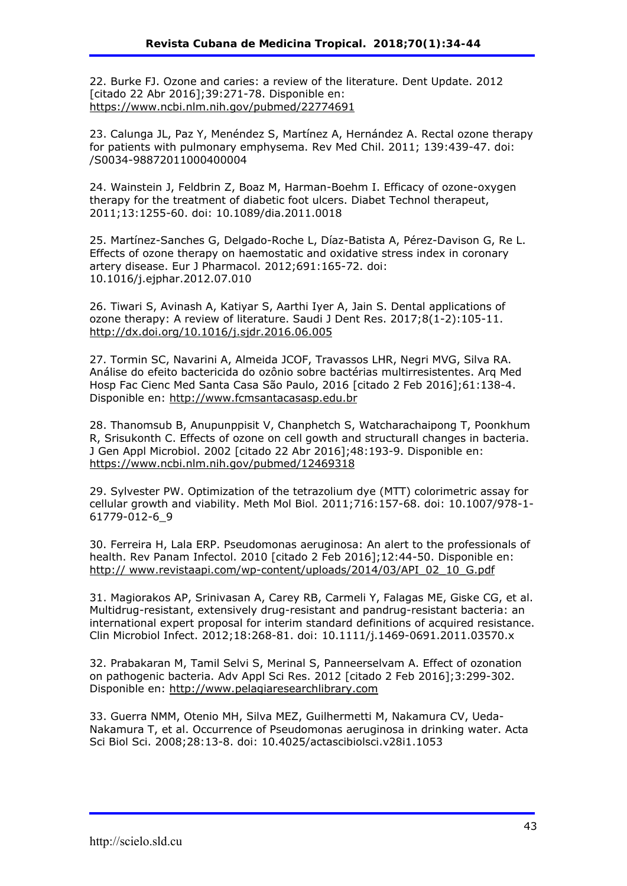22. Burke FJ. Ozone and caries: a review of the literature. Dent Update. 2012 [citado 22 Abr 2016];39:271-78. Disponible en: https://www.ncbi.nlm.nih.gov/pubmed/22774691

23. Calunga JL, Paz Y, Menéndez S, Martínez A, Hernández A. Rectal ozone therapy for patients with pulmonary emphysema. Rev Med Chil. 2011; 139:439-47. doi: /S0034-98872011000400004

24. Wainstein J, Feldbrin Z, Boaz M, Harman-Boehm I. Efficacy of ozone-oxygen therapy for the treatment of diabetic foot ulcers. Diabet Technol therapeut, 2011;13:1255-60. doi: 10.1089/dia.2011.0018

25. Martínez-Sanches G, Delgado-Roche L, Díaz-Batista A, Pérez-Davison G, Re L. Effects of ozone therapy on haemostatic and oxidative stress index in coronary artery disease. Eur J Pharmacol. 2012;691:165-72. doi: 10.1016/j.ejphar.2012.07.010

26. Tiwari S, Avinash A, Katiyar S, Aarthi Iyer A, Jain S. Dental applications of ozone therapy: A review of literature. Saudi J Dent Res. 2017;8(1-2):105-11. http://dx.doi.org/10.1016/j.sjdr.2016.06.005

27. Tormin SC, Navarini A, Almeida JCOF, Travassos LHR, Negri MVG, Silva RA. Análise do efeito bactericida do ozônio sobre bactérias multirresistentes. Arq Med Hosp Fac Cienc Med Santa Casa São Paulo, 2016 [citado 2 Feb 2016];61:138-4. Disponible en: http://www.fcmsantacasasp.edu.br

28. Thanomsub B, Anupunppisit V, Chanphetch S, Watcharachaipong T, Poonkhum R, Srisukonth C. Effects of ozone on cell gowth and structurall changes in bacteria. J Gen Appl Microbiol. 2002 [citado 22 Abr 2016];48:193-9. Disponible en: https://www.ncbi.nlm.nih.gov/pubmed/12469318

29. Sylvester PW. Optimization of the tetrazolium dye (MTT) colorimetric assay for cellular growth and viability. Meth Mol Biol*.* 2011;716:157-68. doi: 10.1007/978-1- 61779-012-6\_9

30. Ferreira H, Lala ERP. *Pseudomonas aeruginosa*: An alert to the professionals of health. Rev Panam Infectol. 2010 [citado 2 Feb 2016];12:44-50. Disponible en: http:// www.revistaapi.com/wp-content/uploads/2014/03/API\_02\_10\_G.pdf

31. Magiorakos AP, Srinivasan A, Carey RB, Carmeli Y, Falagas ME, Giske CG, et al. Multidrug-resistant, extensively drug-resistant and pandrug-resistant bacteria: an international expert proposal for interim standard definitions of acquired resistance. Clin Microbiol Infect. 2012;18:268-81. doi: 10.1111/j.1469-0691.2011.03570.x

32. Prabakaran M, Tamil Selvi S, Merinal S, Panneerselvam A. Effect of ozonation on pathogenic bacteria. Adv Appl Sci Res. 2012 [citado 2 Feb 2016];3:299-302. Disponible en: http://www.pelagiaresearchlibrary.com

33. Guerra NMM, Otenio MH, Silva MEZ, Guilhermetti M, Nakamura CV, Ueda-Nakamura T, et al. Occurrence of *Pseudomonas aeruginosa* in drinking water. Acta Sci Biol Sci. 2008;28:13-8. doi: 10.4025/actascibiolsci.v28i1.1053